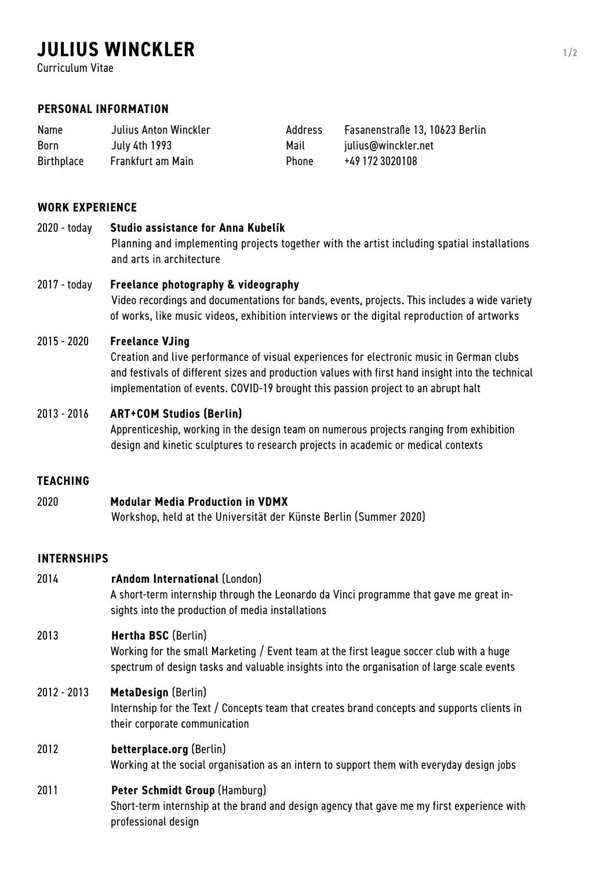# **JULIUS WINCKLER 1/2**

Curriculum Vitae

## **PERSONAL INFORMATION**

| <b>Name</b>       | Julius Anton Winckler | Address      | Fasanenstraße 13, 10623 Berlin |
|-------------------|-----------------------|--------------|--------------------------------|
| <b>Born</b>       | July 4th 1993         | Mail         | julius@winckler.net            |
| <b>Birthplace</b> | Frankfurt am Main     | <b>Phone</b> | +49 172 3020108                |

## **WORK EXPERIENCE**

### 2020 - today **Studio assistance for Anna Kubelík**

Planning and implementing projects together with the artist including spatial installations and arts in architecture

### 2017 - today **Freelance photography & videography**

Video recordings and documentations for bands, events, projects. This includes a wide variety of works, like music videos, exhibition interviews or the digital reproduction of artworks

#### 2015 - 2020 **Freelance VJing**

Creation and live performance of visual experiences for electronic music in German clubs and festivals of different sizes and production values with first hand insight into the technical implementation of events. COVID-19 brought this passion project to an abrupt halt

## 2013 - 2016 **ART+COM Studios (Berlin)**

Apprenticeship, working in the design team on numerous projects ranging from exhibition design and kinetic sculptures to research projects in academic or medical contexts

### **TEACHING**

| 2020 | <b>Modular Media Production in VDMX</b>                           |
|------|-------------------------------------------------------------------|
|      | Workshop, held at the Universität der Künste Berlin (Summer 2020) |

#### **INTERNSHIPS**

| 2014          | rAndom International (London)<br>A short-term internship through the Leonardo da Vinci programme that gave me great in-<br>sights into the production of media installations                                  |
|---------------|---------------------------------------------------------------------------------------------------------------------------------------------------------------------------------------------------------------|
| 2013          | Hertha BSC (Berlin)<br>Working for the small Marketing / Event team at the first league soccer club with a huge<br>spectrum of design tasks and valuable insights into the organisation of large scale events |
| $2012 - 2013$ | <b>MetaDesign (Berlin)</b><br>Internship for the Text / Concepts team that creates brand concepts and supports clients in<br>their corporate communication                                                    |
| 2012          | betterplace.org (Berlin)<br>Working at the social organisation as an intern to support them with everyday design jobs                                                                                         |
| 2011          | Peter Schmidt Group (Hamburg)<br>Short-term internship at the brand and design agency that gave me my first experience with<br>professional design                                                            |